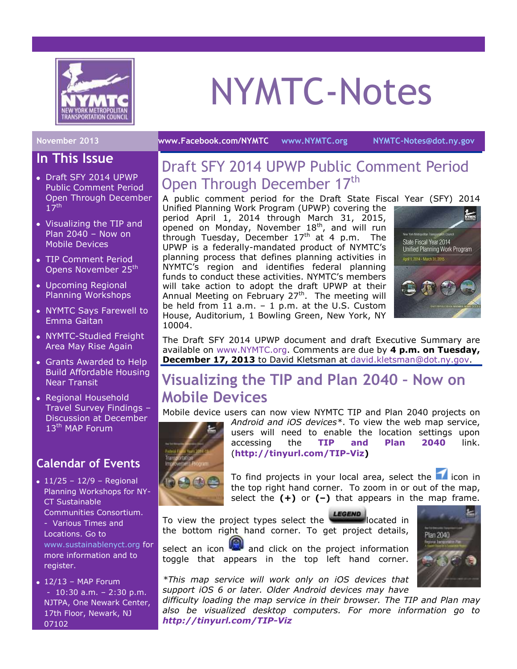

# NYMTC-Notes

#### **November 2013 [www.Facebook.com/NYMTC](http://www.facebook.com/NYMTC) [www.NYMTC.org](http://www.nymtc.org/) [NYMTC-Notes@dot.ny.gov](mailto:NYMTC-Notes@dot.ny.gov)**

**In This Issue**

#### Draft SFY 2014 UPWP Public Comment Period Open Through December  $17<sup>th</sup>$

- Visualizing the TIP and Plan 2040 – Now on Mobile Devices
- TIP Comment Period Opens November 25<sup>th</sup>
- Upcoming Regional Planning Workshops
- NYMTC Says Farewell to Emma Gaitan
- NYMTC-Studied Freight Area May Rise Again
- Grants Awarded to Help Build Affordable Housing Near Transit
- Regional Household Travel Survey Findings – Discussion at December 13<sup>th</sup> MAP Forum

## **Calendar of Events**

- $11/25 12/9 -$  Regional Planning Workshops for NY-CT Sustainable Communities Consortium. - Various Times and Locations. Go to [www.sustainablenyct.org](http://www.sustainablenyct.org/) for more information and to register.
- $\bullet$  12/13 MAP Forum - 10:30 a.m. – 2:30 p.m. NJTPA, One Newark Center, 17th Floor, Newark, NJ 07102

# Draft SFY 2014 UPWP Public Comment Period Open Through December 17<sup>th</sup>

A public comment period for the Draft State Fiscal Year (SFY) 2014 Unified Planning Work Program (UPWP) covering the period April 1, 2014 through March 31, 2015, opened on Monday, November  $18<sup>th</sup>$ , and will run through Tuesday, December  $17<sup>th</sup>$  at 4 p.m. The UPWP is a federally-mandated product of NYMTC's planning process that defines planning activities in NYMTC's region and identifies federal planning funds to conduct these activities. NYMTC's members will take action to adopt the draft UPWP at their Annual Meeting on February 27<sup>th</sup>. The meeting will be held from 11 a.m. – 1 p.m. at the U.S. Custom House, Auditorium, 1 Bowling Green, New York, NY 10004.



The Draft SFY 2014 UPWP document and draft Executive Summary are available on [www.NYMTC.org.](http://www.nymtc.org/) Comments are due by **4 p.m. on Tuesday, December 17, 2013** to David Kletsman at [david.kletsman@dot.ny.gov.](mailto:david.kletsman@dot.ny.gov)

# **Visualizing the TIP and Plan 2040 – Now on Mobile Devices**

Mobile device users can now view NYMTC TIP and Plan 2040 projects on



*Android and iOS devices\**. To view the web map service, users will need to enable the location settings upon accessing the **[TIP and Plan 2040](http://www.nymtc.org/project/TIP/NYMTC_TIP_RTP_4_final/NYMTC_TIP_RTP_4_final.html)** link. (**[http://tinyurl.com/TIP-Viz\)](http://tinyurl.com/TIP-Viz)** 

To find projects in your local area, select the  $\blacksquare$  icon in the top right hand corner. To zoom in or out of the map, select the **(+)** or **(–)** that appears in the map frame.

To view the project types select the **LEGEND** located in the bottom right hand corner. To get project details,

select an icon  $\lim_{n \to \infty}$  and click on the project information toggle that appears in the top left hand corner.



*\*This map service will work only on iOS devices that support iOS 6 or later. Older Android devices may have* 

*difficulty loading the map service in their browser. The TIP and Plan may also be visualized desktop computers. For more information go to <http://tinyurl.com/TIP-Viz>*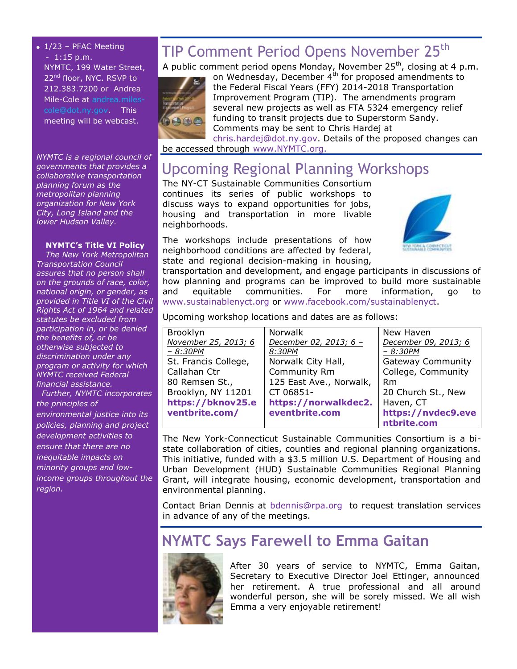$\bullet$  1/23 - PFAC Meeting - 1:15 p.m. NYMTC, 199 Water Street, 22<sup>nd</sup> floor, NYC. RSVP to 212.383.7200 or Andrea Mile-Cole at [andrea.miles](mailto:andrea.miles-cole@dot.ny.gov)[cole@dot.ny.gov.](mailto:andrea.miles-cole@dot.ny.gov) This meeting will be webcast.

*NYMTC is a regional council of governments that provides a collaborative transportation planning forum as the metropolitan planning organization for New York City, Long Island and the lower Hudson Valley.*

#### **NYMTC's Title VI Policy**

*The New York Metropolitan Transportation Council assures that no person shall on the grounds of race, color, national origin, or gender, as provided in Title VI of the Civil Rights Act of 1964 and related statutes be excluded from participation in, or be denied the benefits of, or be otherwise subjected to discrimination under any program or activity for which NYMTC received Federal financial assistance.*

 *Further, NYMTC incorporates the principles of environmental justice into its policies, planning and project development activities to ensure that there are no inequitable impacts on minority groups and lowincome groups throughout the region.*

# TIP Comment Period Opens November 25<sup>th</sup>

A public comment period opens Monday, November 25<sup>th</sup>, closing at 4 p.m.



on Wednesday, December 4<sup>th</sup> for proposed amendments to the Federal Fiscal Years (FFY) 2014-2018 Transportation Improvement Program (TIP). The amendments program several new projects as well as FTA 5324 emergency relief funding to transit projects due to Superstorm Sandy. Comments may be sent to Chris Hardej at [chris.hardej@dot.ny.gov.](mailto:chris.hardej@dot.ny.gov) Details of the proposed changes can

be accessed through [www.NYMTC.org.](http://www.nymtc.org/)

## Upcoming Regional Planning Workshops

The NY-CT Sustainable Communities Consortium continues its series of public workshops to discuss ways to expand opportunities for jobs, housing and transportation in more livable neighborhoods.

The workshops include presentations of how neighborhood conditions are affected by federal, state and regional decision-making in housing,



transportation and development, and engage participants in discussions of how planning and programs can be improved to build more sustainable and equitable communities. For more information, go to [www.sustainablenyct.org](http://www.sustainablenyct.org/) or [www.facebook.com/sustainablenyct.](http://www.facebook.com/sustainablenyct)

Upcoming workshop locations and dates are as follows:

| Brooklyn             | Norwalk                 | New Haven                |
|----------------------|-------------------------|--------------------------|
| November 25, 2013; 6 | December 02, 2013; 6 -  | December 09, 2013; 6     |
| - 8:30PM             | 8:30PM                  | $- 8:30PM$               |
| St. Francis College, | Norwalk City Hall,      | <b>Gateway Community</b> |
| Callahan Ctr         | Community Rm            | College, Community       |
| 80 Remsen St.,       | 125 East Ave., Norwalk, | <b>Rm</b>                |
| Brooklyn, NY 11201   | CT 06851-               | 20 Church St., New       |
| https://bknov25.e    | https://norwalkdec2.    | Haven, CT                |
| ventbrite.com/       | eventbrite.com          | https://nvdec9.eve       |
|                      |                         | ntbrite.com              |

The New York-Connecticut Sustainable Communities Consortium is a bistate collaboration of cities, counties and regional planning organizations. This initiative, funded with a \$3.5 million U.S. Department of Housing and Urban Development (HUD) Sustainable Communities Regional Planning Grant, will integrate housing, economic development, transportation and environmental planning.

Contact Brian Dennis at [bdennis@rpa.org](mailto:bdennis@rpa.org) to request translation services in advance of any of the meetings.

## **NYMTC Says Farewell to Emma Gaitan**



After 30 years of service to NYMTC, Emma Gaitan, Secretary to Executive Director Joel Ettinger, announced her retirement. A true professional and all around wonderful person, she will be sorely missed. We all wish Emma a very enjoyable retirement!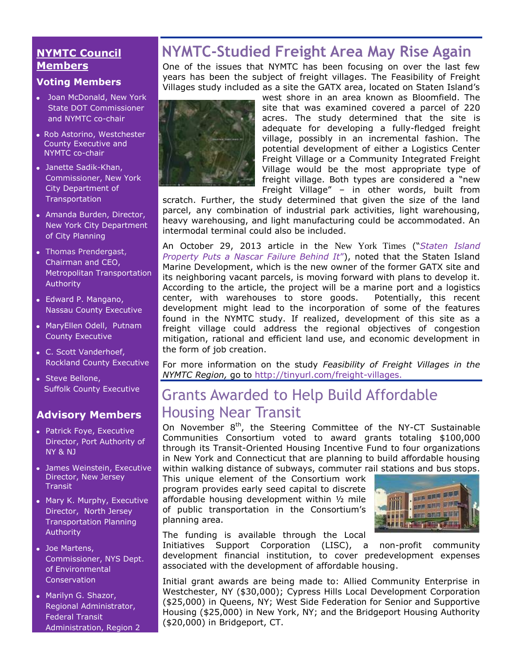### **NYMTC Council Members**

#### **Voting Members**

- Joan McDonald, New York State DOT Commissioner and NYMTC co-chair
- Rob Astorino, Westchester County Executive and NYMTC co-chair
- Janette Sadik-Khan, Commissioner, New York City Department of **Transportation**
- Amanda Burden, Director, New York City Department of City Planning
- [Thomas Prendergast,](http://www.mta.info/mta/leadership/ferrer.htm) Chairman and CEO, Metropolitan Transportation Authority
- Edward P. Mangano, Nassau County Executive
- MaryEllen Odell, Putnam County Executive
- C. Scott Vanderhoef, Rockland County Executive
- Steve Bellone, Suffolk County Executive

## **Advisory Members**

- Patrick Foye, Executive Director, Port Authority of NY & NJ
- James Weinstein, Executive Director, New Jersey **Transit**
- Mary K. Murphy, Executive Director, North Jersey Transportation Planning Authority
- Joe Martens, Commissioner, NYS Dept. of Environmental **Conservation**
- Marilyn G. Shazor, Regional Administrator, Federal Transit Administration, Region 2

# **NYMTC-Studied Freight Area May Rise Again**

One of the issues that NYMTC has been focusing on over the last few years has been the subject of freight villages. The Feasibility of Freight Villages study included as a site the GATX area, located on Staten Island's



west shore in an area known as Bloomfield. The site that was examined covered a parcel of 220 acres. The study determined that the site is adequate for developing a fully-fledged freight village, possibly in an incremental fashion. The potential development of either a Logistics Center Freight Village or a Community Integrated Freight Village would be the most appropriate type of freight village. Both types are considered a "new Freight Village" – in other words, built from

scratch. Further, the study determined that given the size of the land parcel, any combination of industrial park activities, light warehousing, heavy warehousing, and light manufacturing could be accommodated. An intermodal terminal could also be included.

An October 29, 2013 article in the New York Times ("*[Staten Island](http://www.nytimes.com/2013/10/30/realestate/commercial/staten-island-property-puts-nascar-flop-behind-it.html?_r=0&adxnnl=1&adxnnlx=1384468771-+uC3JnqGlq2ussANd0CwBQ)  [Property Puts a Nascar Failure Behind It](http://www.nytimes.com/2013/10/30/realestate/commercial/staten-island-property-puts-nascar-flop-behind-it.html?_r=0&adxnnl=1&adxnnlx=1384468771-+uC3JnqGlq2ussANd0CwBQ)*"), noted that the Staten Island Marine Development, which is the new owner of the former GATX site and its neighboring vacant parcels, is moving forward with plans to develop it. According to the article, the project will be a marine port and a logistics center, with warehouses to store goods. Potentially, this recent development might lead to the incorporation of some of the features found in the NYMTC study. If realized, development of this site as a freight village could address the regional objectives of congestion mitigation, rational and efficient land use, and economic development in the form of job creation.

For more information on the study *Feasibility of Freight Villages in the NYMTC Region,* go to [http://tinyurl.com/freight-villages.](http://tinyurl.com/freight-villages)

# Grants Awarded to Help Build Affordable Housing Near Transit

On November  $8<sup>th</sup>$ , the Steering Committee of the NY-CT Sustainable Communities Consortium voted to award grants totaling \$100,000 through its Transit-Oriented Housing Incentive Fund to four organizations in New York and Connecticut that are planning to build affordable housing within walking distance of subways, commuter rail stations and bus stops.

This unique element of the Consortium work program provides early seed capital to discrete affordable housing development within ½ mile of public transportation in the Consortium's planning area.



The funding is available through the Local

Initiatives Support Corporation (LISC), a non-profit community development financial institution, to cover predevelopment expenses associated with the development of affordable housing.

Initial grant awards are being made to: Allied Community Enterprise in Westchester, NY (\$30,000); Cypress Hills Local Development Corporation (\$25,000) in Queens, NY; West Side Federation for Senior and Supportive Housing (\$25,000) in New York, NY; and the Bridgeport Housing Authority (\$20,000) in Bridgeport, CT.